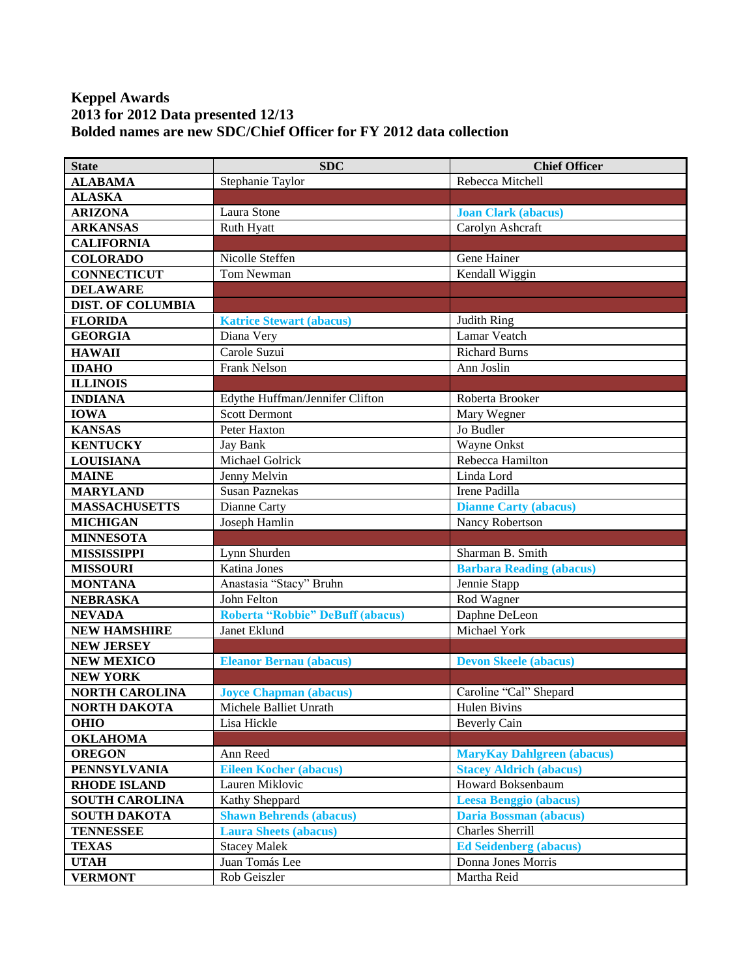## **Keppel Awards 2013 for 2012 Data presented 12/13 Bolded names are new SDC/Chief Officer for FY 2012 data collection**

| <b>State</b>             | <b>SDC</b>                              | <b>Chief Officer</b>              |
|--------------------------|-----------------------------------------|-----------------------------------|
| <b>ALABAMA</b>           | Stephanie Taylor                        | Rebecca Mitchell                  |
| <b>ALASKA</b>            |                                         |                                   |
| <b>ARIZONA</b>           | Laura Stone                             | <b>Joan Clark (abacus)</b>        |
| <b>ARKANSAS</b>          | Ruth Hyatt                              | Carolyn Ashcraft                  |
| <b>CALIFORNIA</b>        |                                         |                                   |
| <b>COLORADO</b>          | Nicolle Steffen                         | Gene Hainer                       |
| <b>CONNECTICUT</b>       | Tom Newman                              | Kendall Wiggin                    |
| <b>DELAWARE</b>          |                                         |                                   |
| <b>DIST. OF COLUMBIA</b> |                                         |                                   |
| <b>FLORIDA</b>           | <b>Katrice Stewart (abacus)</b>         | Judith Ring                       |
| <b>GEORGIA</b>           | Diana Very                              | Lamar Veatch                      |
| <b>HAWAII</b>            | Carole Suzui                            | <b>Richard Burns</b>              |
| <b>IDAHO</b>             | Frank Nelson                            | Ann Joslin                        |
| <b>ILLINOIS</b>          |                                         |                                   |
| <b>INDIANA</b>           | Edythe Huffman/Jennifer Clifton         | Roberta Brooker                   |
| <b>IOWA</b>              | <b>Scott Dermont</b>                    | Mary Wegner                       |
| <b>KANSAS</b>            | Peter Haxton                            | Jo Budler                         |
| <b>KENTUCKY</b>          | <b>Jay Bank</b>                         | <b>Wayne Onkst</b>                |
| <b>LOUISIANA</b>         | Michael Golrick                         | Rebecca Hamilton                  |
| <b>MAINE</b>             | Jenny Melvin                            | Linda Lord                        |
| <b>MARYLAND</b>          | <b>Susan Paznekas</b>                   | Irene Padilla                     |
| <b>MASSACHUSETTS</b>     | Dianne Carty                            | <b>Dianne Carty (abacus)</b>      |
| <b>MICHIGAN</b>          | Joseph Hamlin                           | Nancy Robertson                   |
| <b>MINNESOTA</b>         |                                         |                                   |
| <b>MISSISSIPPI</b>       | Lynn Shurden                            | Sharman B. Smith                  |
| <b>MISSOURI</b>          | <b>Katina Jones</b>                     | <b>Barbara Reading (abacus)</b>   |
| <b>MONTANA</b>           | Anastasia "Stacy" Bruhn                 | Jennie Stapp                      |
| <b>NEBRASKA</b>          | John Felton                             | Rod Wagner                        |
| <b>NEVADA</b>            | <b>Roberta "Robbie" DeBuff (abacus)</b> | Daphne DeLeon                     |
| <b>NEW HAMSHIRE</b>      | Janet Eklund                            | Michael York                      |
| <b>NEW JERSEY</b>        |                                         |                                   |
| <b>NEW MEXICO</b>        | <b>Eleanor Bernau (abacus)</b>          | <b>Devon Skeele (abacus)</b>      |
| <b>NEW YORK</b>          |                                         |                                   |
| <b>NORTH CAROLINA</b>    | <b>Joyce Chapman (abacus)</b>           | Caroline "Cal" Shepard            |
| NORTH DAKOTA             | Michele Balliet Unrath                  | Hulen Bivins                      |
| <b>OHIO</b>              | Lisa Hickle                             | <b>Beverly Cain</b>               |
| <b>OKLAHOMA</b>          |                                         |                                   |
| <b>OREGON</b>            | Ann Reed                                | <b>MaryKay Dahlgreen (abacus)</b> |
| <b>PENNSYLVANIA</b>      | <b>Eileen Kocher (abacus)</b>           | <b>Stacey Aldrich (abacus)</b>    |
| <b>RHODE ISLAND</b>      | Lauren Miklovic                         | Howard Boksenbaum                 |
| <b>SOUTH CAROLINA</b>    | Kathy Sheppard                          | <b>Leesa Benggio (abacus)</b>     |
| <b>SOUTH DAKOTA</b>      | <b>Shawn Behrends (abacus)</b>          | <b>Daria Bossman (abacus)</b>     |
| <b>TENNESSEE</b>         | <b>Laura Sheets (abacus)</b>            | Charles Sherrill                  |
| <b>TEXAS</b>             | <b>Stacey Malek</b>                     | <b>Ed Seidenberg (abacus)</b>     |
| <b>UTAH</b>              | Juan Tomás Lee                          | Donna Jones Morris                |
| <b>VERMONT</b>           | Rob Geiszler                            | Martha Reid                       |